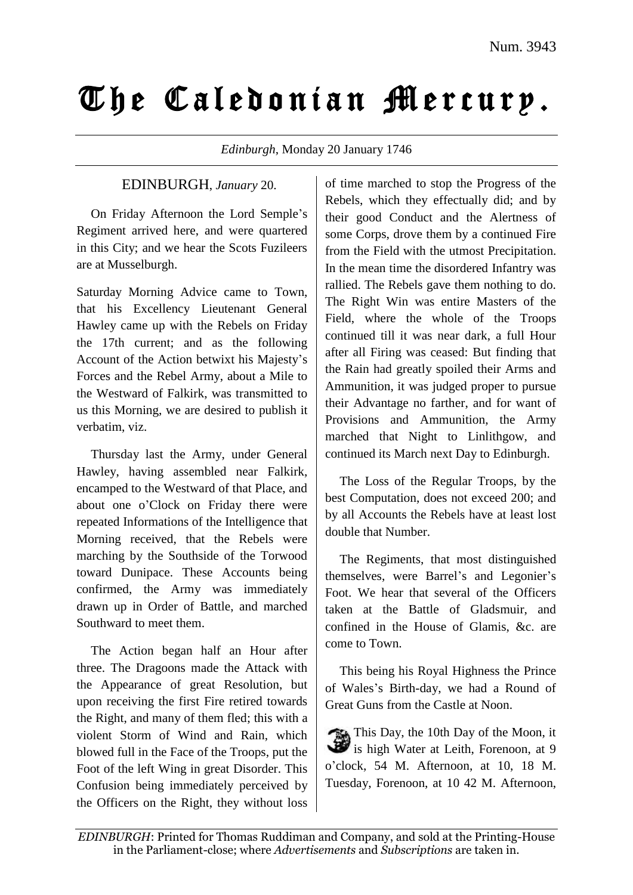## The Caledonian Mercurp.

*Edinburgh*, Monday 20 January 1746

## EDINBURGH, *January* 20.

On Friday Afternoon the Lord Semple's Regiment arrived here, and were quartered in this City; and we hear the Scots Fuzileers are at Musselburgh.

Saturday Morning Advice came to Town, that his Excellency Lieutenant General Hawley came up with the Rebels on Friday the 17th current; and as the following Account of the Action betwixt his Majesty's Forces and the Rebel Army, about a Mile to the Westward of Falkirk, was transmitted to us this Morning, we are desired to publish it verbatim, viz.

Thursday last the Army, under General Hawley, having assembled near Falkirk, encamped to the Westward of that Place, and about one o'Clock on Friday there were repeated Informations of the Intelligence that Morning received, that the Rebels were marching by the Southside of the Torwood toward Dunipace. These Accounts being confirmed, the Army was immediately drawn up in Order of Battle, and marched Southward to meet them.

The Action began half an Hour after three. The Dragoons made the Attack with the Appearance of great Resolution, but upon receiving the first Fire retired towards the Right, and many of them fled; this with a violent Storm of Wind and Rain, which blowed full in the Face of the Troops, put the Foot of the left Wing in great Disorder. This Confusion being immediately perceived by the Officers on the Right, they without loss of time marched to stop the Progress of the Rebels, which they effectually did; and by their good Conduct and the Alertness of some Corps, drove them by a continued Fire from the Field with the utmost Precipitation. In the mean time the disordered Infantry was rallied. The Rebels gave them nothing to do. The Right Win was entire Masters of the Field, where the whole of the Troops continued till it was near dark, a full Hour after all Firing was ceased: But finding that the Rain had greatly spoiled their Arms and Ammunition, it was judged proper to pursue their Advantage no farther, and for want of Provisions and Ammunition, the Army marched that Night to Linlithgow, and continued its March next Day to Edinburgh.

The Loss of the Regular Troops, by the best Computation, does not exceed 200; and by all Accounts the Rebels have at least lost double that Number.

The Regiments, that most distinguished themselves, were Barrel's and Legonier's Foot. We hear that several of the Officers taken at the Battle of Gladsmuir, and confined in the House of Glamis, &c. are come to Town.

This being his Royal Highness the Prince of Wales's Birth-day, we had a Round of Great Guns from the Castle at Noon.

This Day, the 10th Day of the Moon, it is high Water at Leith, Forenoon, at 9 o'clock, 54 M. Afternoon, at 10, 18 M. Tuesday, Forenoon, at 10 42 M. Afternoon,

*EDINBURGH*: Printed for Thomas Ruddiman and Company, and sold at the Printing-House in the Parliament-close; where *Advertisements* and *Subscriptions* are taken in.